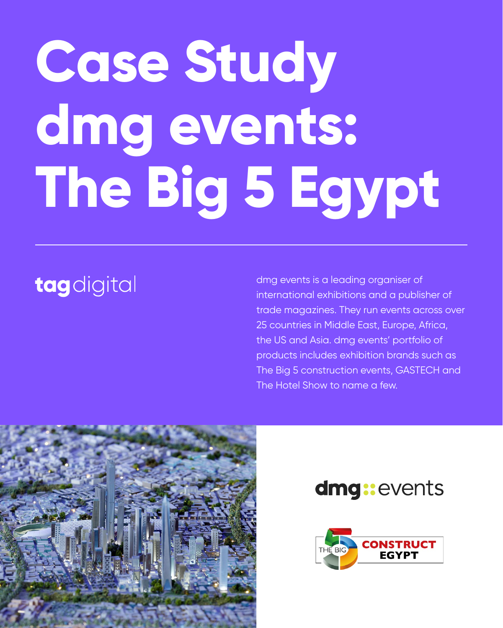# **Case Study dmg events: The Big 5 Egypt**

# tagdigital

dmg events is a leading organiser of international exhibitions and a publisher of trade magazines. They run events across over 25 countries in Middle East, Europe, Africa, the US and Asia. dmg events' portfolio of products includes exhibition brands such as The Big 5 construction events, GASTECH and The Hotel Show to name a few.



# dmg:events

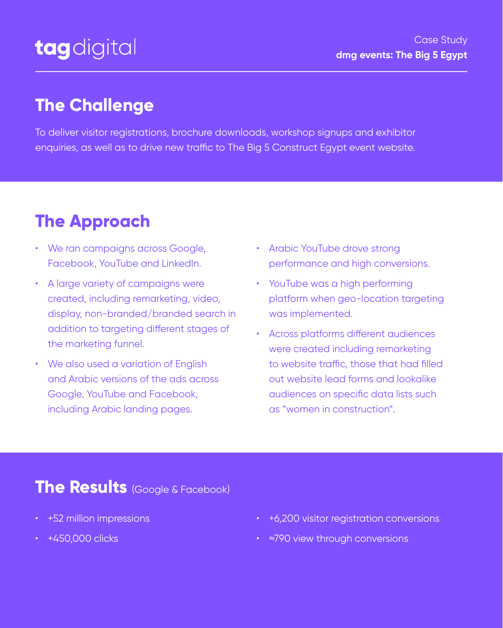To deliver visitor registrations, brochure downloads, workshop signups and exhibitor enquiries, as well as to drive new traffic to The Big 5 Construct Egypt event website.

- We ran campaigns across Google, Facebook, YouTube and LinkedIn.
- A large variety of campaigns were created, including remarketing, video, display, non-branded/branded search in addition to targeting different stages of the marketing funnel.
- We also used a variation of English and Arabic versions of the ads across Google, YouTube and Facebook, including Arabic landing pages.

- +52 million impressions
- +450,000 clicks
- +6,200 visitor registration conversions
- ≈790 view through conversions
- Arabic YouTube drove strong performance and high conversions.
- YouTube was a high performing platform when geo-location targeting was implemented.
- Across platforms different audiences were created including remarketing to website traffic, those that had filled out website lead forms and lookalike audiences on specific data lists such as "women in construction".

# **The Challenge**



## **The Results** (Google & Facebook)



Case Study **dmg events: The Big 5 Egypt**